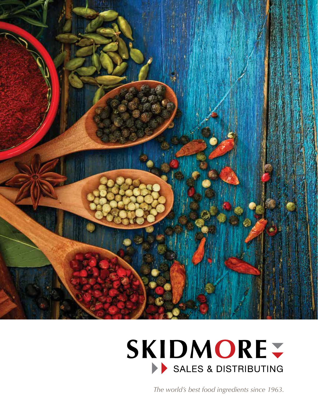

# **SKIDMORE-**SALES & DISTRIBUTING

*The world's best food ingredients since 1963.*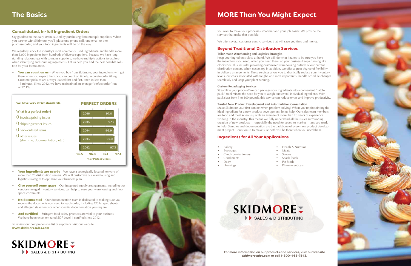### **Consolidated, In-full Ingredient Orders**

Say goodbye to the daily strain caused by purchasing from multiple suppliers. When you partner with Skidmore, you'll place one phone call, one email or one purchase order, and your food ingredients will be on the way.

We regularly stock the industry's most commonly used ingredients, and handle more than 5,000 ingredients from hundreds of diverse suppliers. Because we have long standing relationships with so many suppliers, we have multiple options to explore when identifying and sourcing ingredients. Let us help you find the best possible solution for your formulation.

• You can count on us – When you buy from Skidmore, your ingredients will get there when you expect them. You can count on timely, accurate order filling. Customer pickups are always loaded first and fast, often in less than 15 minutes. Since 2012, we have maintained an average "perfect order" rate of 97.1%.

- Your ingredients are nearby We have a strategically located network of more than 20 distribution centers. We will customize our warehousing and logistics strategies to optimize your business plan.
- **Give yourself some space** Our integrated supply arrangements, including our vendor-managed inventory services, can help to ease your warehousing and floor space constraints.
- It's **documented** Our documentation team is dedicated to making sure you receive the documents you need for each order, including COAs, spec sheets, and allergen statements or other specific documentation you require.
- And certified Stringent food safety practices are vital to your business. We have been excellent rated SQF Level II certified since 2012.

To review our comprehensive list of suppliers, visit our website: www.skidmoresales.com





## **The Basics**



- Bakery
- **Beverages**
- Candy confectionery
- Condiments
- Dairy
- **Dressings**

You want to make your processes smoother and your job easier. We provide the services that make that possible.

We offer several customer-centric services that will save you time and money.

### **Beyond Traditional Distribution Services**

### **Tailor-made Warehousing and Logistics Strategies**

Keep your ingredients close at hand. We will do what it takes to be sure you have the ingredients you need, when you need them, so your business keeps running like clockwork. This includes providing customized warehousing outside of our current distribution centers, when necessary. In addition, we offer a great degree of flexibility in delivery arrangements. These services allow you to drastically reduce your inventory levels, cut costs associated with freight, and most importantly, handle schedule changes seamlessly and keep your plant running.

### **Custom Repackaging Services**

Streamline your process! We can package your ingredients into a convenient "batchpack," to eliminate the need for you to weigh out several individual ingredients. With pack sizes from 5 to 100 pounds, this service can reduce errors and improve productivity.

### **Trusted New Product Development and Reformulation Consultation**

Make Skidmore your first contact when problem solving! When you're pinpointing the ideal ingredient for a new product development, let us help. Our sales team members are food and meat scientists, with an average of more than 20 years of experience working in the industry. This means we fully understand all the issues surrounding creation of new products — especially the need for speed-to-market — and are ready to help. Samples and documentation are the backbone of every new product development project. Count on us to make sure both will be there when you need them.

### **Ingredients for All Your Applications**

## **MORE Than You Might Expect**

**For more information on our products and services, visit our website**  *skidmoresales.com* **or call 1-800-468-7543.**



• Health & Nutrition





- Meats
- Sauces
- Snack foods
- Pet foods
- Pharmaceuticals

## **SKIDMORE** SALES & DISTRIBUTING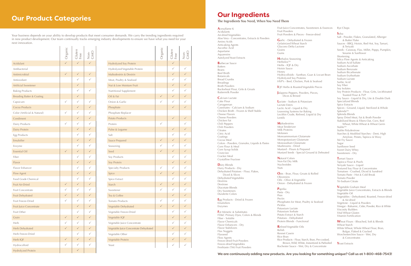|                                      | $\leq$ Organic | Cluten<br>Free | Non-<br>GMC  |
|--------------------------------------|----------------|----------------|--------------|
| Acidulant                            |                |                | $\checkmark$ |
| Antibacterial                        |                |                |              |
| Antimicrobial                        | $\checkmark$   | $\checkmark$   | $\checkmark$ |
| Antioxidant                          |                | $\checkmark$   |              |
| Artificial Sweetener                 |                | $\checkmark$   |              |
| <b>Baking Products</b>               |                | ✓              |              |
| <b>Breading Batter &amp; Coating</b> |                | $\checkmark$   |              |
| Capsicum                             | ✓              | $\checkmark$   | $\checkmark$ |
| Cocoa Products                       |                | $\checkmark$   | $\checkmark$ |
| Color (Artificial & Natural)         |                | $\checkmark$   | $\checkmark$ |
| Condiment                            |                | $\checkmark$   | $\checkmark$ |
| Dairy Products                       |                | $\checkmark$   | $\checkmark$ |
| Dairy Protein                        |                | $\checkmark$   | $\checkmark$ |
| Egg Products                         |                | ✓              | $\checkmark$ |
| Emulsifier                           |                | $\checkmark$   | $\checkmark$ |
| Enzyme                               |                | $\checkmark$   | $\checkmark$ |
| <b>Essential Oil</b>                 | $\checkmark$   | $\checkmark$   | $\checkmark$ |
| Fiber                                |                | $\checkmark$   | $\checkmark$ |
| Flavor                               |                | $\checkmark$   | $\checkmark$ |
| Flavor Enhancer                      |                |                | $\checkmark$ |
| Flow Agent                           |                | $\checkmark$   | $\checkmark$ |
| Food Grade Chemical                  |                | $\checkmark$   | $\checkmark$ |
| Fruit Air-Dried                      | $\checkmark$   | $\checkmark$   | $\checkmark$ |
| Fruit Concentrate                    | $\checkmark$   | ✓              | $\checkmark$ |
| Fruit Dehydrated                     | $\checkmark$   | $\checkmark$   | $\checkmark$ |
| Fruit Freeze-Dried                   | $\checkmark$   | $\checkmark$   | ✓            |
| Fruit Juice Concentrate              |                | $\checkmark$   | $\checkmark$ |
| Fruit Other                          |                | ✓              | ✓            |
| Grain                                | $\checkmark$   | $\checkmark$   | $\checkmark$ |
| Herb                                 |                | ✓              | ✓            |
| Herb Dehydrated                      | $\checkmark$   | $\checkmark$   | $\checkmark$ |
| Herb Freeze-Dried                    |                |                | ✓            |
| Herb IQF                             | $\checkmark$   | $\checkmark$   | $\checkmark$ |
| Hydrocolloid                         | ✓              | ✓              | ✓            |
| <b>Hydrolyzed Protein</b>            |                | $\checkmark$   |              |

|                                        | Organic      | Gluten<br>Free | Non-<br>GMO  |
|----------------------------------------|--------------|----------------|--------------|
| <b>Hydrolyzed Soy Protein</b>          |              | $\checkmark$   |              |
| Hydrolyzed Vegetable Protein           |              | $\checkmark$   | ✓            |
| Maltodextrin & Dextrin                 |              | $\checkmark$   | $\checkmark$ |
| Meat, Poultry & Seafood                |              | $\checkmark$   | $\checkmark$ |
| Nut & Low Moisture Fruit               |              | $\checkmark$   | $\checkmark$ |
| Nutritional Supplement                 |              | ✓              | $\checkmark$ |
| Oil & Fat                              | $\checkmark$ | $\checkmark$   | $\checkmark$ |
| Onion & Garlic                         | $\checkmark$ | $\checkmark$   | $\checkmark$ |
| Phosphate                              |              | $\checkmark$   | $\checkmark$ |
| Phosphate Replacer                     |              |                |              |
| Potato Products                        |              | $\checkmark$   | $\checkmark$ |
| Protein                                | $\checkmark$ |                | $\checkmark$ |
| Pulse & Legume                         |              | $\checkmark$   | $\checkmark$ |
| Salt                                   |              | $\checkmark$   | $\checkmark$ |
| Sauce Prepared                         | $\checkmark$ | $\checkmark$   | $\checkmark$ |
| Seasoning                              | $\checkmark$ | $\checkmark$   | $\checkmark$ |
| Seed                                   | $\checkmark$ | $\checkmark$   | $\checkmark$ |
| Soy Products                           |              | $\checkmark$   | $\checkmark$ |
| Soy Protein                            |              | $\checkmark$   | $\checkmark$ |
| Specialty Products                     | $\checkmark$ | ✓              | $\checkmark$ |
| Spice                                  | $\checkmark$ | $\checkmark$   | $\checkmark$ |
| Spice Extract                          |              | ✓              | $\checkmark$ |
| <b>Starch</b>                          | $\checkmark$ | $\checkmark$   | $\checkmark$ |
| Sweetener                              | ✓            | $\checkmark$   | $\checkmark$ |
| Tea & Coffee                           |              | $\checkmark$   | $\checkmark$ |
| Tomato Products                        | ✓            | ✓              | ✓            |
| Vegetable Dehydrated                   | $\checkmark$ | $\checkmark$   | $\checkmark$ |
| Vegetable Freeze-Dried                 |              | ✓              | ✓            |
| Vegetable IQF                          |              | $\checkmark$   | $\checkmark$ |
| Vegetable Juice Concentrate            |              | ✓              | ✓            |
| Vegetable Juice Concentrate Dehydrated |              | $\checkmark$   | $\checkmark$ |
| Vegetable Other                        |              | $\checkmark$   | ✓            |
| Vegetable Protein                      |              | $\checkmark$   | $\checkmark$ |
| Yeast                                  |              | $\checkmark$   | $\checkmark$ |

**F**at Mimetic & Substitutes FD&C Primary Dyes, Colors & Blends Fiber - Soluble Flavor Chemicals Flavor Enhancers - Dry Flavor Stabilizers Flax Nuggets Flaxseed Flow Agents Freeze-dried Fruit Powders Freeze-dried Vegetables Freshtaste (TM) Fruit Powders

## **Our Product Categories**

Your business depends on your ability to develop products that meet consumer demands. We carry the trending ingredients required in new product development. Our team continually tracks emerging industry developments to ensure we have what you need for your next innovation.

**A**cesulfame K

Acidulants Air-dried Vegetables Aloe Vera - Concentrates, Extracts & Powders Amino Acids Anticaking Agents Ascorbic Acid Aspartame Aquaresins Autolyzed Yeast Extracts

> **N**atural Colors Non-Fat Dry Milk Nucleotides **Nuts**

**B**arbecue Sauce Batters Beans Beef Broth Botanicals Bread Crumbs Breadings Broth Powders Buckwheat Flour, Grits & Groats Buttermilk Powder

**C**alcium Lactate Cake Flour Carrageenan Caseinates - Calcium & Sodium Chicken Broth - Frozen & Shelf Stable Cheese Flavors Cheese Powders Chicken Fat Chili Peppers Chili Powders Citrates Citric Acid Coatings Cocoa Meal Colors - Powders, Granules, Liquids & Pastes Corn Flour & Meal Corn Syrup Solids **Couscous** Cracker Meal Crystalline Fructose

**D**airy Blends Dairy Products - Dry Dehydrated Potatoes - Flour, Flakes, Diced & Slices Dehydrated Vegetables Dextrins Dextrose Diacetate Blends Dry Sweeteners Durabrite Colors

**E**gg Products - Dried & Frozen Emulsifiers Enzymes

Fruit Juice Concentrates, Sweeteners & Essences Fruit Powders Fruit Powders & Pieces - Freeze-dried

**G**arlic - Dehydrated & Frozen Gelatinized Wheat Starch Glucono Delta Lactone Grains Gums

**H**erbalox Seasoning Herbolox™ Herbs - IQF & Dry Hoisin Sauce Honey Hydrolyzed Soy Proteins HVP's - Beef, Chicken, Pork & Seafood

**I**QF Herbs & Roasted Vegetable Pieces

**J**alapeno Peppers, Powders, Pieces, Dices & Brined

**L**actate - Sodium & Potassium Lactate Esters Lactic Acid - Liquid & Dry Leavening Systems for Baking Lecithin Crude, Refined, Liquid & Dry Lentils

**M**altodextrins Meat Tenderizer Milk Proteins Molasses Monoammonium Glutamate Monopotassium Glutamate Monosodium Glutamate Mushrooms - Dried Mustard - Flours & Prepared

**O**ats - Bran, Flour, Groats & Rolled Oleoresins Oils - Olive & Vegetable Onion - Dehydrated & Frozen

**P**aprika

Pasta - Dry Peas Pectin Phosphates for Meat, Poultry & Seafood Pickles Potassium Lactate Potassium Sorbate Potato Extract & Starch Potatoes - Dehydrated Protein Blends - Functional

**R**efined Vegetable Oils Relish Rennet Casein Rice Bran Rice Products - Flour, Starch, Bran, Pre-cooked, Rochester Sauce - Wet, Dry & Concentrate

Hydrocolloids - Xanthan, Guar & Locust Bean Mustard Seeds - Special Ground & Deheated Brown, Wild, White, Instantized & Parboiled Rye Chops **S**alsa Salt - Powder, Flakes, Granulated, Alberger & Butter Flake Sauces - BBQ, Hoisin, Red Hot, Soy, Tamari, & Teriyaki Seeds - Caraway, Flax, Millet, Poppy, Pumpkin, Sesame & Sunflower Shortening Silica Flow Agents & Anticaking Sodium Acid Sulfate Sodium Ascorbate Sodium Benzoate Sodium Bicarbonate Sodium Erythorbate Sodium Lactate Sorbic Acid Soy Fiber Soy Isolates Soy Protein Products - Flour, Grits, Lecithinated Toasted Flour & TVP Soy Sauce - Liquid & Dry, Lite & Double Dark Specialized Blends Spice Extracts Spices - Ground, Liquid, Sterilized & Whole Splenda™ Splenda Blends Spray Dried Meat, Fat & Broth Powder Stabilized Brans & Fibers-Oat, Corn, Red Wheat, White Wheat & Wheat Germ Stalite™ Stalite Polydextrose Starches & Modified Starches - Dent, High Amylose, Potato, Tapioca & Waxy Stir Fry Sauce Sugar Sunflower Seed Sweet Dairy Whey Sweeteners - Dry **T**amari Sauce Tapioca Flour & Pearls Teriyaki Sauce - Liquid Textured Soy Flour & Concentrates Tomatoes - Crushed, Diced & Sundried Tomato Paste - Hot & Cold Break Tomato Powder Tri-Sodium Citrate **V**egetable Graham Meal Vegetable Juice Concentrates, Extracts & Blends Vegetable Oil Vegetables - Dehydrated, Roasted, Freeze-dried & Air-dried Vegetone - Liquid & Powders Vinegar - Balsamic, Cider, Powder, Rice & White Viscosity Builders Vital Wheat Gluten Vitamin Fortification **W**heat Flours - Bleached, Soft & Blends Wheat Starch White Wheat, Whole Wheat Flour, Bran, Bulgar, Flaked & Cracked Worchesterchire Sauce - Wet, Dry & Concentrates **Y**east Extracts

## **Our Ingredients**

### **The Ingredients You Need, When You Need Them**

### **We are continuously adding new products. Are you looking for something unique? Call us at 1-800-468-7543!**